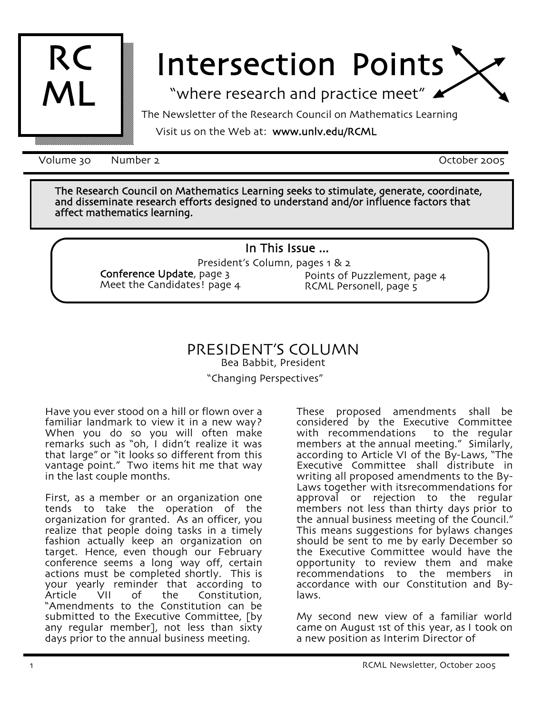

# Intersection Points

"where research and practice meet"

The Newsletter of the Research Council on Mathematics Learning

Visit us on the Web at: www.unlv.edu/RCML

Volume 30 Number 2 and 2005 Number 2 and 2005 Number 2005

The Research Council on Mathematics Learning seeks to stimulate, generate, coordinate, and disseminate research efforts designed to understand and/or influence factors that affect mathematics learning.

## In This Issue ...

President's Column, pages 1 & 2 Conference Update, page 3 Meet the Candidates! page 4 Points of Puzzlement, page 4 RCML Personell, page 5

## PRESIDENT'S COLUMN Bea Babbit, President "Changing Perspectives"

Have you ever stood on a hill or flown over a familiar landmark to view it in a new way? When you do so you will often make remarks such as "oh, I didn't realize it was that large" or "it looks so different from this vantage point." Two items hit me that way in the last couple months.

First, as a member or an organization one tends to take the operation of the organization for granted. As an officer, you realize that people doing tasks in a timely fashion actually keep an organization on target. Hence, even though our February conference seems a long way off, certain actions must be completed shortly. This is your yearly reminder that according to<br>Article VII of the Constitution, "Amendments to the Constitution can be submitted to the Executive Committee, [by any regular member], not less than sixty days prior to the annual business meeting.

These proposed amendments shall be considered by the Executive Committee<br>with recommendations to the regular with recommendations members at the annual meeting." Similarly, according to Article VI of the By-Laws, "The Executive Committee shall distribute in writing all proposed amendments to the By-Laws together with itsrecommendations for approval or rejection to the regular members not less than thirty days prior to the annual business meeting of the Council." This means suggestions for bylaws changes should be sent to me by early December so the Executive Committee would have the opportunity to review them and make recommendations to the members in accordance with our Constitution and By- laws.

My second new view of a familiar world came on August 1st of this year, as I took on a new position as Interim Director of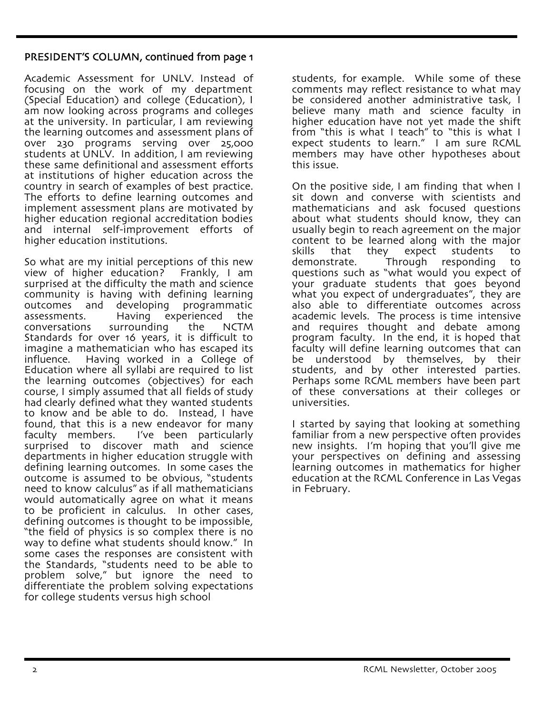### PRESIDENT'S COLUMN, continued from page 1

Academic Assessment for UNLV. Instead of focusing on the work of my department (Special Education) and college (Education), I am now looking across programs and colleges at the university. In particular, I am reviewing the learning outcomes and assessment plans of over 230 programs serving over 25,000 students at UNLV. In addition, I am reviewing these same definitional and assessment efforts at institutions of higher education across the country in search of examples of best practice. The efforts to define learning outcomes and implement assessment plans are motivated by higher education regional accreditation bodies and internal self-improvement efforts of higher education institutions.

So what are my initial perceptions of this new view of higher education? Frankly, I am surprised at the difficulty the math and science community is having with defining learning outcomes and developing programmatic assessments. Having experienced the<br>conversations surrounding the NCTM conversations Standards for over 16 years, it is difficult to imagine a mathematician who has escaped its influence. Having worked in a College of Education where all syllabi are required to list the learning outcomes (objectives) for each course, I simply assumed that all fields of study had clearly defined what they wanted students to know and be able to  $d\sigma$ . Instead, I have found, that this is a new endeavor for many<br>faculty members. I've been particularly I've been particularly surprised to discover math and science departments in higher education struggle with defining learning outcomes. In some cases the outcome is assumed to be obvious, "students need to know calculus" as if all mathematicians would automatically agree on what it means<br>to be proficient in calculus. In other cases, defining outcomes is thought to be impossible, "the field of physics is so complex there is no way to define what students should know." In some cases the responses are consistent with the Standards, "students need to be able to problem solve," but ignore the need to differentiate the problem solving expectations for college students versus high school

students, for example. While some of these comments may reflect resistance to what may be considered another administrative task, I believe many math and science faculty in higher education have not yet made the shift from "this is what I teach" to "this is what I expect students to learn." I am sure RCML members may have other hypotheses about this issue.

On the positive side, I am finding that when I sit down and converse with scientists and mathematicians and ask focused questions about what students should know, they can usually begin to reach agreement on the major content to be learned along with the major skills that they expect students to<br>demonstrate. Through responding to responding to questions such as "what would you expect of your graduate students that goes beyond what you expect of undergraduates", they are also able to differentiate outcomes across academic levels. The process is time intensive and requires thought and debate among program faculty. In the end, it is hoped that faculty will define learning outcomes that can be understood by themselves, by their<br>students, and by other interested parties. Perhaps some RCML members have been part of these conversations at their colleges or universities.

I started by saying that looking at something familiar from a new perspective often provides new insights. I'm hoping that you'll give me your perspectives on defining and assessing learning outcomes in mathematics for higher education at the RCML Conference in Las Vegas in February.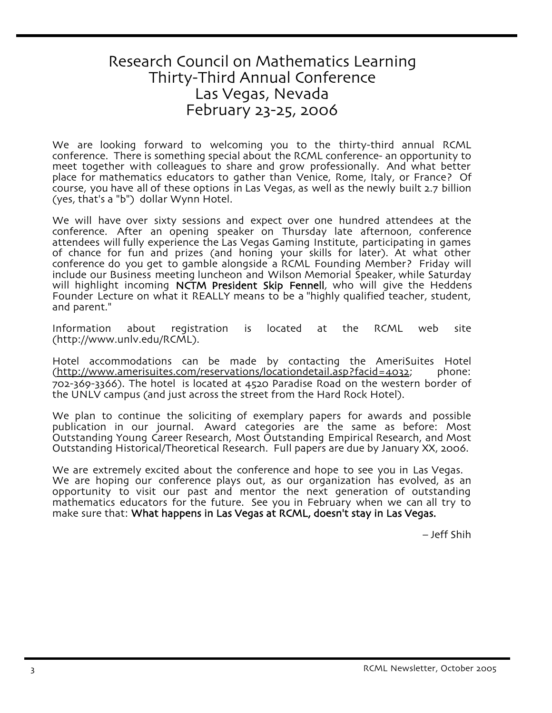# Research Council on Mathematics Learning Thirty-Third Annual Conference Las Vegas, Nevada February 23-25, 2006

We are looking forward to welcoming you to the thirty-third annual RCML conference. There is something special about the RCML conference- an opportunity to meet together with colleagues to share and grow professionally. And what better place for mathematics educators to gather than Venice, Rome, Italy, or France? Of course, you have all of these options in Las Vegas, as well as the newly built 2.7 billion (yes, that's a "b") dollar Wynn Hotel.

We will have over sixty sessions and expect over one hundred attendees at the conference. After an opening speaker on Thursday late afternoon, conference attendees will fully experience the Las Vegas Gaming Institute, participating in games of chance for fun and prizes (and honing your skills for later). At what other conference do you get to gamble alongside a RCML Founding Member? Friday will include our Business meeting luncheon and Wilson Memorial Speaker, while Saturday will highlight incoming NCTM President Skip Fennell, who will give the Heddens Founder Lecture on what it REALLY means to be a "highly qualified teacher, student, and parent."

Information about registration is located at the RCML web site (http://www.unlv.edu/RCML).

Hotel accommodations can be made by contacting the AmeriSuites Hotel (http://www.amerisuites.com/reservations/locationdetail.asp?facid=4032; phone: 702-369-3366). The hotel is located at 4520 Paradise Road on the western border of the UNLV campus (and just across the street from the Hard Rock Hotel).

We plan to continue the soliciting of exemplary papers for awards and possible publication in our journal. Award categories are the same as before: Most Outstanding Young Career Research, Most Outstanding Empirical Research, and Most Outstanding Historical/Theoretical Research. Full papers are due by January XX, 2006.

We are extremely excited about the conference and hope to see you in Las Vegas.<br>We are hoping our conference plays out, as our organization has evolved, as an opportunity to visit our past and mentor the next generation of outstanding mathematics educators for the future. See you in February when we can all try to make sure that: What happens in Las Vegas at RCML, doesn't stay in Las Vegas.

– Jeff Shih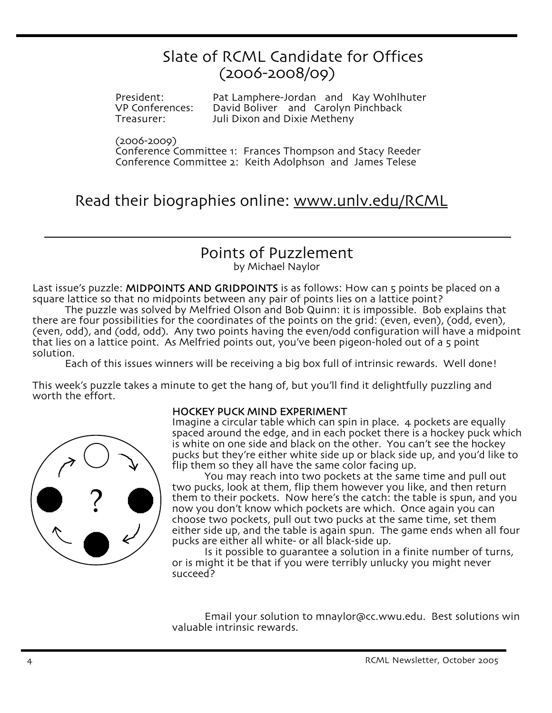# Slate of RCML Candidate for Offices (2006-2008/09)

President: Pat Lamphere-Jordan and Kay Wohlhuter<br>
VP Conferences: David Boliver and Carolyn Pinchback VP Conferences: David Boliver and Carolyn Pinchback<br>Treasurer: Juli Dixon and Dixie Metheny Juli Dixon and Dixie Metheny

(2006-2009)

Conference Committee 1: Frances Thompson and Stacy Reeder Conference Committee 2: Keith Adolphson and James Telese

Read their biographies online: www.unlv.edu/RCML

# Points of Puzzlement

by Michael Naylor

Last issue's puzzle: MIDPOINTS AND GRIDPOINTS is as follows: How can 5 points be placed on a square lattice so that no midpoints between any pair of points lies on a lattice point?

The puzzle was solved by Melfried Olson and Bob Quinn: it is impossible. Bob explains that there are four possibilities for the coordinates of the points on the grid: (even, even), (odd, even), (even, odd), and (odd, odd). Any two points having the even/odd configuration will have a midpoint that lies on a lattice point. As Melfried points out, you've been pigeon-holed out of a 5 point solution.

Each of this issues winners will be receiving a big box full of intrinsic rewards. Well done!

This week's puzzle takes a minute to get the hang of, but you'll find it delightfully puzzling and worth the effort.



#### HOCKEY PUCK MIND EXPERIMENT

Imagine a circular table which can spin in place. 4 pockets are equally spaced around the edge, and in each pocket there is a hockey puck which is white on one side and black on the other. You can't see the hockey pucks but they're either white side up or black side up, and you'd like to flip them so they all have the same color facing up.

You may reach into two pockets at the same time and pull out two pucks, look at them, flip them however you like, and then return them to their pockets. Now here's the catch: the table is spun, and you now you don't know which pockets are which. Once again you can choose two pockets, pull out two pucks at the same time, set them either side up, and the table is again spun. The game ends when all four<br>pucks are either all white- or all black-side up.

Is it possible to guarantee a solution in a finite number of turns,<br>or is might it be that if you were terribly unlucky you might never succeed?

Email your solution to mnaylor@cc.wwu.edu. Best solutions win valuable intrinsic rewards.